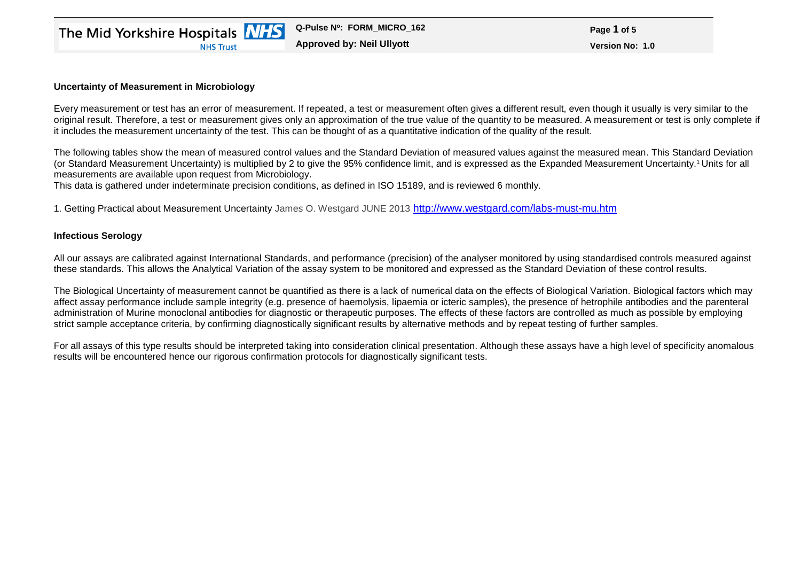## **Uncertainty of Measurement in Microbiology**

Every measurement or test has an error of measurement. If repeated, a test or measurement often gives a different result, even though it usually is very similar to the original result. Therefore, a test or measurement gives only an approximation of the true value of the quantity to be measured. A measurement or test is only complete if it includes the measurement uncertainty of the test. This can be thought of as a quantitative indication of the quality of the result.

The following tables show the mean of measured control values and the Standard Deviation of measured values against the measured mean. This Standard Deviation (or Standard Measurement Uncertainty) is multiplied by 2 to give the 95% confidence limit, and is expressed as the Expanded Measurement Uncertainty.<sup>1</sup> Units for all measurements are available upon request from Microbiology.

This data is gathered under indeterminate precision conditions, as defined in ISO 15189, and is reviewed 6 monthly.

1. Getting Practical about Measurement Uncertainty James O. Westgard JUNE 2013 <http://www.westgard.com/labs-must-mu.htm>

## **Infectious Serology**

All our assays are calibrated against International Standards, and performance (precision) of the analyser monitored by using standardised controls measured against these standards. This allows the Analytical Variation of the assay system to be monitored and expressed as the Standard Deviation of these control results.

The Biological Uncertainty of measurement cannot be quantified as there is a lack of numerical data on the effects of Biological Variation. Biological factors which may affect assay performance include sample integrity (e.g. presence of haemolysis, lipaemia or icteric samples), the presence of hetrophile antibodies and the parenteral administration of Murine monoclonal antibodies for diagnostic or therapeutic purposes. The effects of these factors are controlled as much as possible by employing strict sample acceptance criteria, by confirming diagnostically significant results by alternative methods and by repeat testing of further samples.

For all assays of this type results should be interpreted taking into consideration clinical presentation. Although these assays have a high level of specificity anomalous results will be encountered hence our rigorous confirmation protocols for diagnostically significant tests.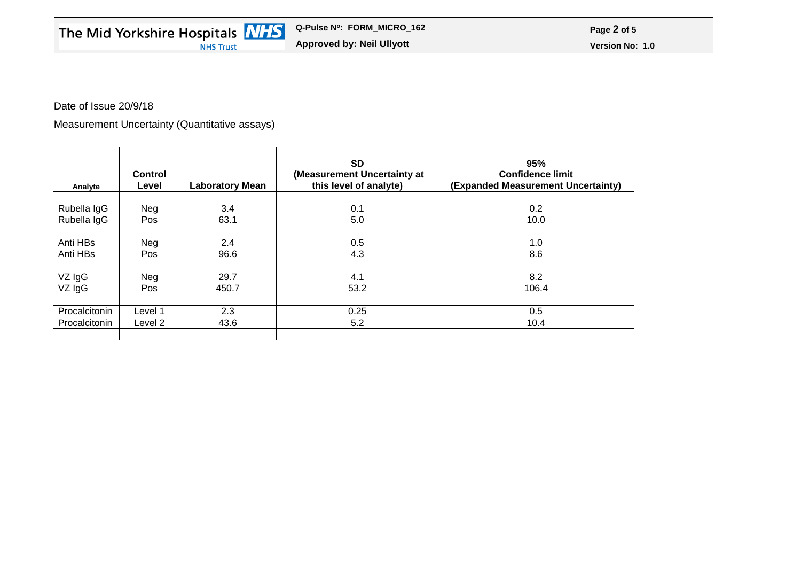Date of Issue 20/9/18

Measurement Uncertainty (Quantitative assays)

| Analyte       | <b>Control</b><br>Level | <b>Laboratory Mean</b> | <b>SD</b><br>(Measurement Uncertainty at<br>this level of analyte) | 95%<br><b>Confidence limit</b><br>(Expanded Measurement Uncertainty) |
|---------------|-------------------------|------------------------|--------------------------------------------------------------------|----------------------------------------------------------------------|
| Rubella IgG   | Neg                     | 3.4                    | 0.1                                                                | 0.2                                                                  |
| Rubella IgG   | <b>Pos</b>              | 63.1                   | 5.0                                                                | 10.0                                                                 |
| Anti HBs      | Neg                     | 2.4                    | 0.5                                                                | 1.0                                                                  |
| Anti HBs      | Pos                     | 96.6                   | 4.3                                                                | 8.6                                                                  |
| VZ IgG        | Neg                     | 29.7                   | 4.1                                                                | 8.2                                                                  |
| VZ IgG        | Pos                     | 450.7                  | 53.2                                                               | 106.4                                                                |
| Procalcitonin | Level 1                 | 2.3                    | 0.25                                                               | 0.5                                                                  |
| Procalcitonin | Level 2                 | 43.6                   | 5.2                                                                | 10.4                                                                 |
|               |                         |                        |                                                                    |                                                                      |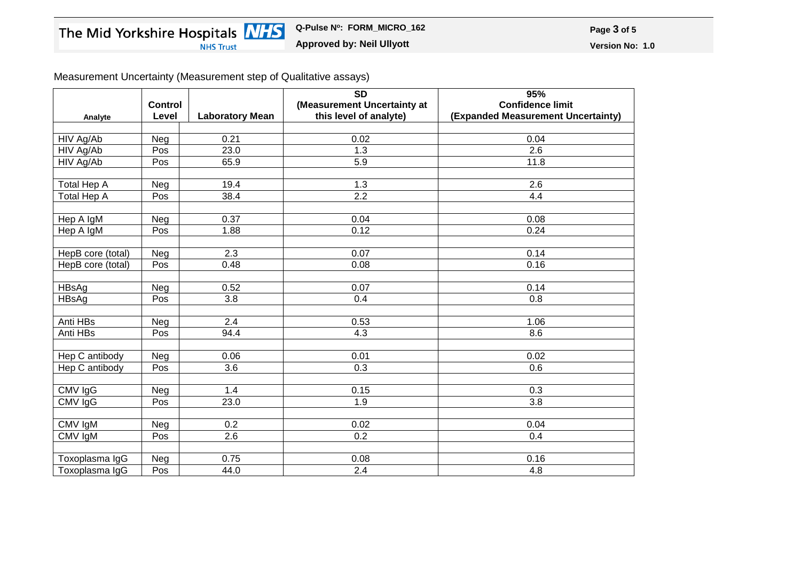Measurement Uncertainty (Measurement step of Qualitative assays)

| Analyte           | <b>Control</b><br>Level | <b>Laboratory Mean</b> | $\overline{SD}$<br>(Measurement Uncertainty at<br>this level of analyte) | 95%<br><b>Confidence limit</b><br>(Expanded Measurement Uncertainty) |
|-------------------|-------------------------|------------------------|--------------------------------------------------------------------------|----------------------------------------------------------------------|
|                   |                         |                        |                                                                          |                                                                      |
| HIV Ag/Ab         | Neg                     | 0.21                   | 0.02                                                                     | 0.04                                                                 |
| HIV Ag/Ab         | Pos                     | 23.0                   | 1.3                                                                      | 2.6                                                                  |
| HIV Ag/Ab         | Pos                     | 65.9                   | 5.9                                                                      | 11.8                                                                 |
| Total Hep A       | Neg                     | 19.4                   | $1.3$                                                                    | 2.6                                                                  |
| Total Hep A       | Pos                     | 38.4                   | 2.2                                                                      | 4.4                                                                  |
|                   |                         |                        |                                                                          |                                                                      |
| Hep A IgM         | Neg                     | 0.37                   | 0.04                                                                     | 0.08                                                                 |
| Hep A IgM         | Pos                     | 1.88                   | 0.12                                                                     | 0.24                                                                 |
|                   |                         |                        |                                                                          |                                                                      |
| HepB core (total) | Neg                     | 2.3                    | 0.07                                                                     | 0.14                                                                 |
| HepB core (total) | Pos                     | 0.48                   | 0.08                                                                     | 0.16                                                                 |
|                   |                         |                        |                                                                          |                                                                      |
| HBsAg             | Neg                     | 0.52                   | 0.07                                                                     | 0.14                                                                 |
| <b>HBsAg</b>      | Pos                     | $\overline{3.8}$       | 0.4                                                                      | 0.8                                                                  |
|                   |                         |                        |                                                                          |                                                                      |
| Anti HBs          | Neg                     | 2.4                    | 0.53                                                                     | 1.06                                                                 |
| Anti HBs          | Pos                     | 94.4                   | 4.3                                                                      | 8.6                                                                  |
|                   |                         |                        |                                                                          |                                                                      |
| Hep C antibody    | Neg                     | 0.06                   | 0.01                                                                     | 0.02                                                                 |
| Hep C antibody    | Pos                     | $\overline{3.6}$       | $\overline{0.3}$                                                         | 0.6                                                                  |
|                   |                         |                        |                                                                          |                                                                      |
| CMV IgG           | Neg                     | 1.4                    | 0.15                                                                     | 0.3                                                                  |
| CMV IgG           | Pos                     | 23.0                   | 1.9                                                                      | 3.8                                                                  |
|                   |                         |                        |                                                                          |                                                                      |
| CMV IgM           | Neg                     | 0.2                    | 0.02                                                                     | 0.04                                                                 |
| CMV IgM           | Pos                     | 2.6                    | 0.2                                                                      | 0.4                                                                  |
|                   |                         |                        |                                                                          |                                                                      |
| Toxoplasma IgG    | Neg                     | 0.75                   | 0.08                                                                     | 0.16                                                                 |
| Toxoplasma IgG    | Pos                     | 44.0                   | $\overline{2.4}$                                                         | 4.8                                                                  |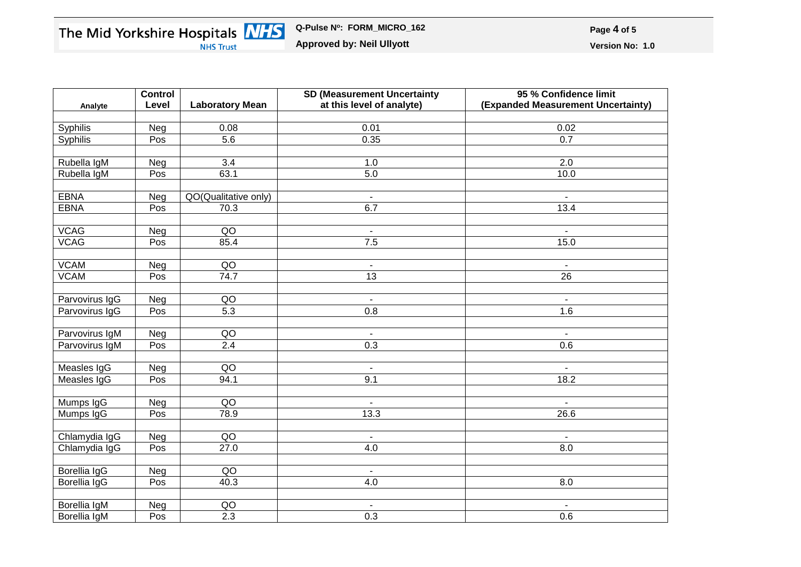|                | <b>Control</b> |                        | <b>SD (Measurement Uncertainty</b> | 95 % Confidence limit              |
|----------------|----------------|------------------------|------------------------------------|------------------------------------|
| Analyte        | Level          | <b>Laboratory Mean</b> | at this level of analyte)          | (Expanded Measurement Uncertainty) |
|                |                |                        |                                    |                                    |
| Syphilis       | Neg            | 0.08                   | 0.01                               | 0.02                               |
| Syphilis       | Pos            | $\overline{5.6}$       | 0.35                               | $\overline{0.7}$                   |
|                |                |                        |                                    |                                    |
| Rubella IgM    | Neg            | 3.4                    | 1.0                                | 2.0                                |
| Rubella IgM    | Pos            | 63.1                   | 5.0                                | 10.0                               |
|                |                |                        |                                    |                                    |
| <b>EBNA</b>    | Neg            | QO(Qualitative only)   | $\blacksquare$                     |                                    |
| <b>EBNA</b>    | Pos            | 70.3                   | 6.7                                | 13.4                               |
|                |                |                        |                                    |                                    |
| <b>VCAG</b>    | Neg            | $\overline{QO}$        | $\blacksquare$                     | $\blacksquare$                     |
| <b>VCAG</b>    | Pos            | 85.4                   | 7.5                                | 15.0                               |
|                |                |                        |                                    |                                    |
| <b>VCAM</b>    | Neg            | QO                     | $\blacksquare$                     | $\blacksquare$                     |
| <b>VCAM</b>    | Pos            | 74.7                   | 13                                 | $\overline{26}$                    |
|                |                |                        |                                    |                                    |
| Parvovirus IgG | Neg            | QO                     | $\blacksquare$                     | $\blacksquare$                     |
| Parvovirus IgG | Pos            | 5.3                    | 0.8                                | 1.6                                |
|                |                |                        |                                    |                                    |
| Parvovirus IgM | Neg            | QO                     | $\blacksquare$                     | $\blacksquare$                     |
| Parvovirus IgM | Pos            | 2.4                    | 0.3                                | 0.6                                |
|                |                |                        |                                    |                                    |
| Measles IgG    | Neg            | QO                     | $\blacksquare$                     | $\blacksquare$                     |
| Measles IgG    | Pos            | 94.1                   | 9.1                                | 18.2                               |
|                |                |                        |                                    |                                    |
| Mumps IgG      | Neg            | QO                     | $\blacksquare$                     | $\blacksquare$                     |
| Mumps IgG      | Pos            | 78.9                   | 13.3                               | 26.6                               |
|                |                |                        |                                    |                                    |
| Chlamydia IgG  | Neg            | QO                     | $\overline{\phantom{a}}$           |                                    |
| Chlamydia IgG  | Pos            | 27.0                   | 4.0                                | 8.0                                |
|                |                |                        |                                    |                                    |
| Borellia IgG   | Neg            | QO                     | $\blacksquare$                     |                                    |
| Borellia IgG   | Pos            | 40.3                   | 4.0                                | 8.0                                |
|                |                |                        |                                    |                                    |
| Borellia IgM   | Neg            | QO                     |                                    |                                    |
| Borellia IgM   | Pos            | 2.3                    | 0.3                                | 0.6                                |